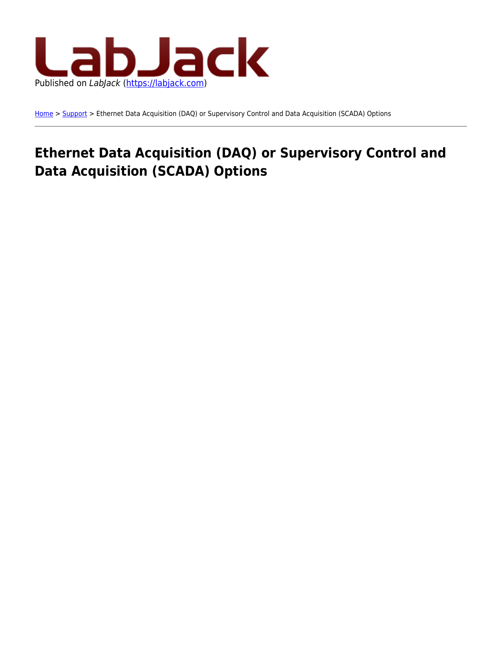

[Home](https://labjack.com/) > [Support](https://labjack.com/support) > Ethernet Data Acquisition (DAQ) or Supervisory Control and Data Acquisition (SCADA) Options

# **Ethernet Data Acquisition (DAQ) or Supervisory Control and Data Acquisition (SCADA) Options**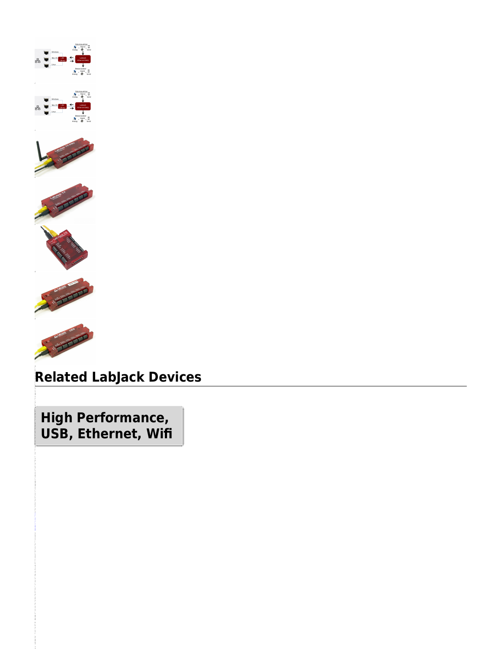









i

# **Related LabJack Devices**

**High Performance, USB, Ethernet, Wifi**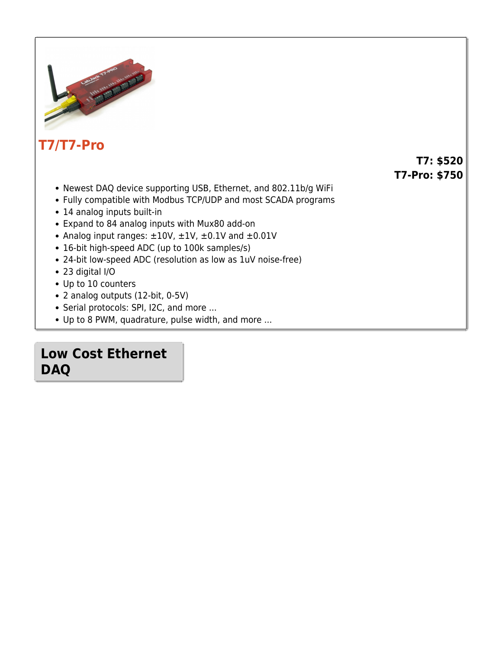

### **[T7/T7-Pro](https://labjack.com/t7)**

#### **T7: \$520 T7-Pro: \$750**

- Newest DAQ device supporting USB, Ethernet, and 802.11b/g WiFi
- Fully compatible with Modbus TCP/UDP and most SCADA programs
- 14 analog inputs built-in
- Expand to 84 analog inputs with Mux80 add-on
- Analog input ranges:  $\pm 10V$ ,  $\pm 1V$ ,  $\pm 0.1V$  and  $\pm 0.01V$
- 16-bit high-speed ADC (up to 100k samples/s)
- 24-bit low-speed ADC (resolution as low as 1uV noise-free)
- 23 digital I/O
- Up to 10 counters
- 2 analog outputs (12-bit, 0-5V)
- Serial protocols: SPI, I2C, and more ...
- Up to 8 PWM, quadrature, pulse width, and more ...

### **Low Cost Ethernet DAQ**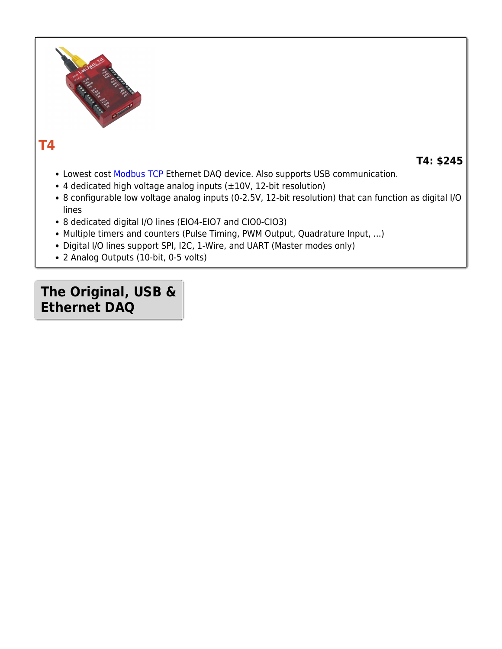

### **[T4](https://labjack.com/t4)**

**T4: \$245**

- Lowest cost [Modbus TCP](https://labjack.com/support/software/examples/modbus) Ethernet DAQ device. Also supports USB communication.
- 4 dedicated high voltage analog inputs (±10V, 12-bit resolution)
- 8 configurable low voltage analog inputs (0-2.5V, 12-bit resolution) that can function as digital I/O lines
- 8 dedicated digital I/O lines (EIO4-EIO7 and CIO0-CIO3)
- Multiple timers and counters (Pulse Timing, PWM Output, Quadrature Input, ...)
- Digital I/O lines support SPI, I2C, 1-Wire, and UART (Master modes only)
- 2 Analog Outputs (10-bit, 0-5 volts)

## **The Original, USB & Ethernet DAQ**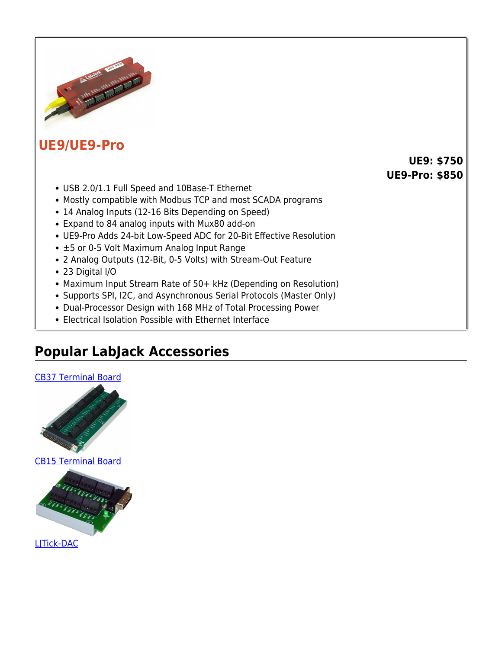

#### **[UE9/UE9-Pro](https://labjack.com/ue9)**

**UE9: \$750 UE9-Pro: \$850**

- USB 2.0/1.1 Full Speed and 10Base-T Ethernet
- Mostly compatible with Modbus TCP and most SCADA programs
- 14 Analog Inputs (12-16 Bits Depending on Speed)
- Expand to 84 analog inputs with Mux80 add-on
- UE9-Pro Adds 24-bit Low-Speed ADC for 20-Bit Effective Resolution
- ±5 or 0-5 Volt Maximum Analog Input Range
- 2 Analog Outputs (12-Bit, 0-5 Volts) with Stream-Out Feature
- 23 Digital I/O
- Maximum Input Stream Rate of 50+ kHz (Depending on Resolution)
- Supports SPI, I2C, and Asynchronous Serial Protocols (Master Only)
- Dual-Processor Design with 168 MHz of Total Processing Power
- Electrical Isolation Possible with Ethernet Interface

# **Popular LabJack Accessories**



[CB15 Terminal Board](https://labjack.com/accessories/cb15-terminal-board)



[LJTick-DAC](https://labjack.com/accessories/ljtick-dac)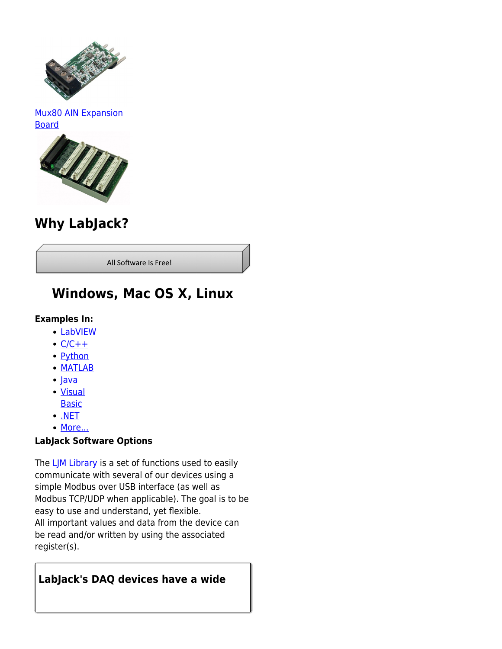

#### [Mux80 AIN Expansion](https://labjack.com/accessories/mux80-ain-expansion-board) [Board](https://labjack.com/accessories/mux80-ain-expansion-board)



## **Why LabJack?**

All Software Is Free!

## **Windows, Mac OS X, Linux**

#### **Examples In:**

- [LabVIEW](https://labjack.com/support/ljm/examples/labview)
- $\cdot$  [C/C++](https://labjack.com/support/ljm/examples/c)
- [Python](https://labjack.com/support/ljm/examples/python)
- [MATLAB](https://labjack.com/support/ljm/examples/matlab)
- $\cdot$  lava
- [Visual](https://labjack.com/support/ljm/examples/visual-basic) [Basic](https://labjack.com/support/ljm/examples/visual-basic)
- $\cdot$  [.NET](https://labjack.com/support/ljm/examples/net)
- [More...](https://labjack.com/support/ljm/examples)

#### **LabJack Software Options**

The  $L/M$  Library is a set of functions used to easily communicate with several of our devices using a simple Modbus over USB interface (as well as Modbus TCP/UDP when applicable). The goal is to be easy to use and understand, yet flexible. All important values and data from the device can be read and/or written by using the associated register(s).

#### **LabJack's DAQ devices have a wide**